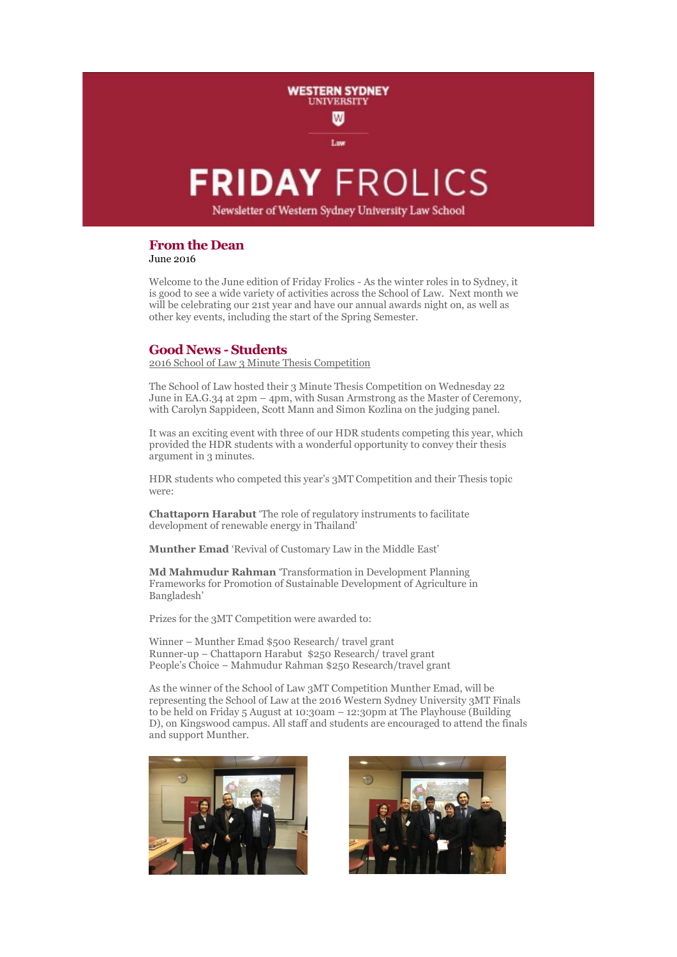# **FRIDAY FROLICS**

Lav

**WESTERN SYDNEY UNIVERSITY**  $\mathbf w$ 

Newsletter of Western Sydney University Law School

## **From the Dean**

June 2016

Welcome to the June edition of Friday Frolics - As the winter roles in to Sydney, it is good to see a wide variety of activities across the School of Law. Next month we will be celebrating our 21st year and have our annual awards night on, as well as other key events, including the start of the Spring Semester.

### **Good News - Students**

2016 School of Law 3 Minute Thesis Competition

The School of Law hosted their 3 Minute Thesis Competition on Wednesday 22 June in EA.G.34 at 2pm – 4pm, with Susan Armstrong as the Master of Ceremony, with Carolyn Sappideen, Scott Mann and Simon Kozlina on the judging panel.

It was an exciting event with three of our HDR students competing this year, which provided the HDR students with a wonderful opportunity to convey their thesis argument in 3 minutes.

HDR students who competed this year's 3MT Competition and their Thesis topic were:

**Chattaporn Harabut** 'The role of regulatory instruments to facilitate development of renewable energy in Thailand'

**Munther Emad** 'Revival of Customary Law in the Middle East'

**Md Mahmudur Rahman** 'Transformation in Development Planning Frameworks for Promotion of Sustainable Development of Agriculture in Bangladesh'

Prizes for the 3MT Competition were awarded to:

Winner – Munther Emad \$500 Research/ travel grant Runner-up – Chattaporn Harabut \$250 Research/ travel grant People's Choice – Mahmudur Rahman \$250 Research/travel grant

As the winner of the School of Law 3MT Competition Munther Emad, will be representing the School of Law at the 2016 Western Sydney University 3MT Finals to be held on Friday 5 August at 10:30am – 12:30pm at The Playhouse (Building D), on Kingswood campus. All staff and students are encouraged to attend the finals and support Munther.



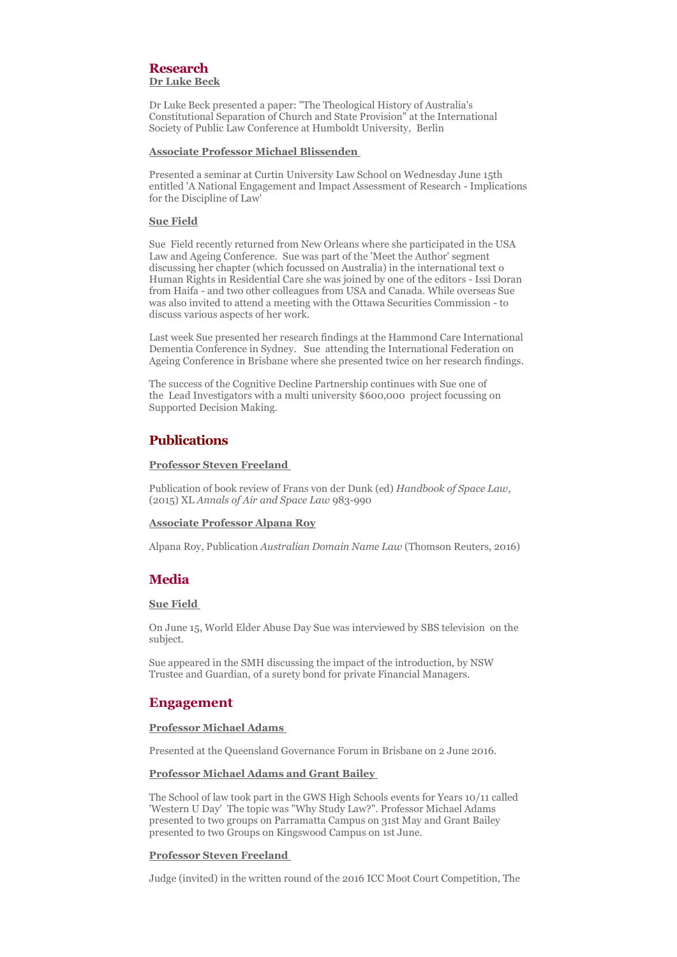#### **Research Dr Luke Beck**

Dr Luke Beck presented a paper: "The Theological History of Australia's Constitutional Separation of Church and State Provision" at the International Society of Public Law Conference at Humboldt University, Berlin

#### **Associate Professor Michael Blissenden**

Presented a seminar at Curtin University Law School on Wednesday June 15th entitled 'A National Engagement and Impact Assessment of Research - Implications for the Discipline of Law'

#### **Sue Field**

Sue Field recently returned from New Orleans where she participated in the USA Law and Ageing Conference. Sue was part of the 'Meet the Author' segment discussing her chapter (which focussed on Australia) in the international text o Human Rights in Residential Care she was joined by one of the editors - Issi Doran from Haifa - and two other colleagues from USA and Canada. While overseas Sue was also invited to attend a meeting with the Ottawa Securities Commission - to discuss various aspects of her work.

Last week Sue presented her research findings at the Hammond Care International Dementia Conference in Sydney. Sue attending the International Federation on Ageing Conference in Brisbane where she presented twice on her research findings.

The success of the Cognitive Decline Partnership continues with Sue one of the Lead Investigators with a multi university \$600,000 project focussing on Supported Decision Making.

## **Publications**

#### **Professor Steven Freeland**

Publication of book review of Frans von der Dunk (ed) *Handbook of Space Law*, (2015) XL *Annals of Air and Space Law* 983-990

#### **Associate Professor Alpana Roy**

Alpana Roy, Publication *Australian Domain Name Law* (Thomson Reuters, 2016)

## **Media**

#### **Sue Field**

On June 15, World Elder Abuse Day Sue was interviewed by SBS television on the subject.

Sue appeared in the SMH discussing the impact of the introduction, by NSW Trustee and Guardian, of a surety bond for private Financial Managers.

## **Engagement**

#### **Professor Michael Adams**

Presented at the Queensland Governance Forum in Brisbane on 2 June 2016.

#### **Professor Michael Adams and Grant Bailey**

The School of law took part in the GWS High Schools events for Years 10/11 called 'Western U Day' The topic was "Why Study Law?". Professor Michael Adams presented to two groups on Parramatta Campus on 31st May and Grant Bailey presented to two Groups on Kingswood Campus on 1st June.

#### **Professor Steven Freeland**

Judge (invited) in the written round of the 2016 ICC Moot Court Competition, The